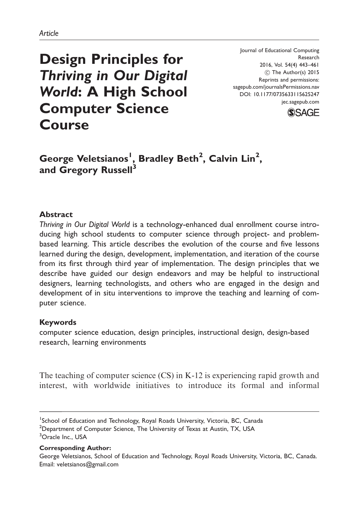# Design Principles for Thriving in Our Digital World: A High School Computer Science Course

Journal of Educational Computing Research 2016, Vol. 54(4) 443–461 C The Author(s) 2015 Reprints and permissions: sagepub.com/journalsPermissions.nav DOI: 10.1177/0735633115625247 jec.sagepub.com



George Veletsianos<sup>1</sup>, Bradley Beth<sup>2</sup>, Calvin Lin<sup>2</sup>, and Gregory Russell<sup>3</sup>

#### Abstract

Thriving in Our Digital World is a technology-enhanced dual enrollment course introducing high school students to computer science through project- and problembased learning. This article describes the evolution of the course and five lessons learned during the design, development, implementation, and iteration of the course from its first through third year of implementation. The design principles that we describe have guided our design endeavors and may be helpful to instructional designers, learning technologists, and others who are engaged in the design and development of in situ interventions to improve the teaching and learning of computer science.

#### Keywords

computer science education, design principles, instructional design, design-based research, learning environments

The teaching of computer science (CS) in K-12 is experiencing rapid growth and interest, with worldwide initiatives to introduce its formal and informal

#### Corresponding Author:

<sup>&</sup>lt;sup>1</sup>School of Education and Technology, Royal Roads University, Victoria, BC, Canada  $^{2}$ Department of Computer Science, The University of Texas at Austin, TX, USA <sup>3</sup>Oracle Inc., USA

George Veletsianos, School of Education and Technology, Royal Roads University, Victoria, BC, Canada. Email: veletsianos@gmail.com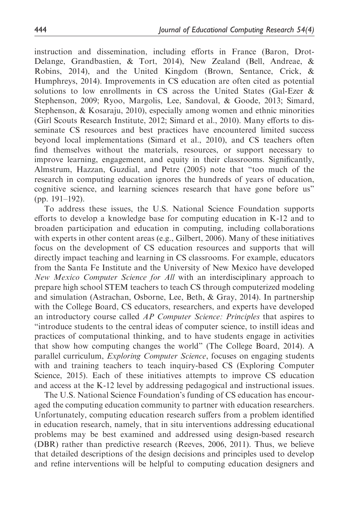instruction and dissemination, including efforts in France (Baron, Drot-Delange, Grandbastien, & Tort, 2014), New Zealand (Bell, Andreae, & Robins, 2014), and the United Kingdom (Brown, Sentance, Crick, & Humphreys, 2014). Improvements in CS education are often cited as potential solutions to low enrollments in CS across the United States (Gal-Ezer & Stephenson, 2009; Ryoo, Margolis, Lee, Sandoval, & Goode, 2013; Simard, Stephenson, & Kosaraju, 2010), especially among women and ethnic minorities (Girl Scouts Research Institute, 2012; Simard et al., 2010). Many efforts to disseminate CS resources and best practices have encountered limited success beyond local implementations (Simard et al., 2010), and CS teachers often find themselves without the materials, resources, or support necessary to improve learning, engagement, and equity in their classrooms. Significantly, Almstrum, Hazzan, Guzdial, and Petre (2005) note that "too much of the research in computing education ignores the hundreds of years of education, cognitive science, and learning sciences research that have gone before us" (pp. 191–192).

To address these issues, the U.S. National Science Foundation supports efforts to develop a knowledge base for computing education in K-12 and to broaden participation and education in computing, including collaborations with experts in other content areas (e.g., Gilbert, 2006). Many of these initiatives focus on the development of CS education resources and supports that will directly impact teaching and learning in CS classrooms. For example, educators from the Santa Fe Institute and the University of New Mexico have developed New Mexico Computer Science for All with an interdisciplinary approach to prepare high school STEM teachers to teach CS through computerized modeling and simulation (Astrachan, Osborne, Lee, Beth, & Gray, 2014). In partnership with the College Board, CS educators, researchers, and experts have developed an introductory course called AP Computer Science: Principles that aspires to "introduce students to the central ideas of computer science, to instill ideas and practices of computational thinking, and to have students engage in activities that show how computing changes the world" (The College Board, 2014). A parallel curriculum, *Exploring Computer Science*, focuses on engaging students with and training teachers to teach inquiry-based CS (Exploring Computer Science, 2015). Each of these initiatives attempts to improve CS education and access at the K-12 level by addressing pedagogical and instructional issues.

The U.S. National Science Foundation's funding of CS education has encouraged the computing education community to partner with education researchers. Unfortunately, computing education research suffers from a problem identified in education research, namely, that in situ interventions addressing educational problems may be best examined and addressed using design-based research (DBR) rather than predictive research (Reeves, 2006, 2011). Thus, we believe that detailed descriptions of the design decisions and principles used to develop and refine interventions will be helpful to computing education designers and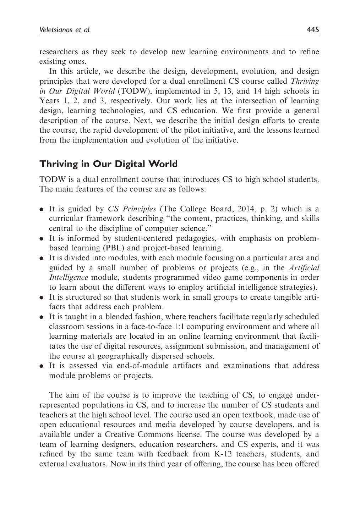researchers as they seek to develop new learning environments and to refine existing ones.

In this article, we describe the design, development, evolution, and design principles that were developed for a dual enrollment CS course called Thriving in Our Digital World (TODW), implemented in 5, 13, and 14 high schools in Years 1, 2, and 3, respectively. Our work lies at the intersection of learning design, learning technologies, and CS education. We first provide a general description of the course. Next, we describe the initial design efforts to create the course, the rapid development of the pilot initiative, and the lessons learned from the implementation and evolution of the initiative.

# Thriving in Our Digital World

TODW is a dual enrollment course that introduces CS to high school students. The main features of the course are as follows:

- . It is guided by CS Principles (The College Board, 2014, p. 2) which is a curricular framework describing "the content, practices, thinking, and skills central to the discipline of computer science."
- . It is informed by student-centered pedagogies, with emphasis on problembased learning (PBL) and project-based learning.
- . It is divided into modules, with each module focusing on a particular area and guided by a small number of problems or projects (e.g., in the Artificial Intelligence module, students programmed video game components in order to learn about the different ways to employ artificial intelligence strategies).
- . It is structured so that students work in small groups to create tangible artifacts that address each problem.
- . It is taught in a blended fashion, where teachers facilitate regularly scheduled classroom sessions in a face-to-face 1:1 computing environment and where all learning materials are located in an online learning environment that facilitates the use of digital resources, assignment submission, and management of the course at geographically dispersed schools.
- . It is assessed via end-of-module artifacts and examinations that address module problems or projects.

The aim of the course is to improve the teaching of CS, to engage underrepresented populations in CS, and to increase the number of CS students and teachers at the high school level. The course used an open textbook, made use of open educational resources and media developed by course developers, and is available under a Creative Commons license. The course was developed by a team of learning designers, education researchers, and CS experts, and it was refined by the same team with feedback from K-12 teachers, students, and external evaluators. Now in its third year of offering, the course has been offered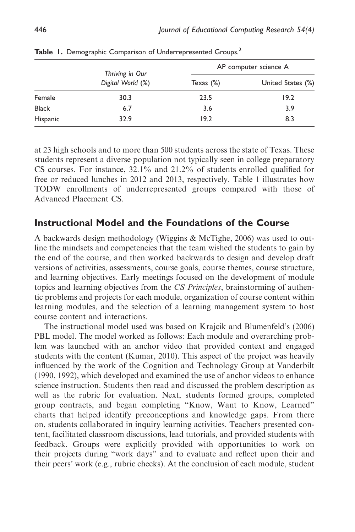|              |                                      |              | AP computer science A |
|--------------|--------------------------------------|--------------|-----------------------|
|              | Thriving in Our<br>Digital World (%) | Texas $(\%)$ | United States (%)     |
| Female       | 30.3                                 | 23.5         | 19.2                  |
| <b>Black</b> | 6.7                                  | 3.6          | 3.9                   |
| Hispanic     | 32.9                                 | 19.2         | 8.3                   |

Table 1. Demographic Comparison of Underrepresented Groups.<sup>2</sup>

at 23 high schools and to more than 500 students across the state of Texas. These students represent a diverse population not typically seen in college preparatory CS courses. For instance, 32.1% and 21.2% of students enrolled qualified for free or reduced lunches in 2012 and 2013, respectively. Table 1 illustrates how TODW enrollments of underrepresented groups compared with those of Advanced Placement CS.

## Instructional Model and the Foundations of the Course

A backwards design methodology (Wiggins & McTighe, 2006) was used to outline the mindsets and competencies that the team wished the students to gain by the end of the course, and then worked backwards to design and develop draft versions of activities, assessments, course goals, course themes, course structure, and learning objectives. Early meetings focused on the development of module topics and learning objectives from the CS Principles, brainstorming of authentic problems and projects for each module, organization of course content within learning modules, and the selection of a learning management system to host course content and interactions.

The instructional model used was based on Krajcik and Blumenfeld's (2006) PBL model. The model worked as follows: Each module and overarching problem was launched with an anchor video that provided context and engaged students with the content (Kumar, 2010). This aspect of the project was heavily influenced by the work of the Cognition and Technology Group at Vanderbilt (1990, 1992), which developed and examined the use of anchor videos to enhance science instruction. Students then read and discussed the problem description as well as the rubric for evaluation. Next, students formed groups, completed group contracts, and began completing "Know, Want to Know, Learned" charts that helped identify preconceptions and knowledge gaps. From there on, students collaborated in inquiry learning activities. Teachers presented content, facilitated classroom discussions, lead tutorials, and provided students with feedback. Groups were explicitly provided with opportunities to work on their projects during "work days" and to evaluate and reflect upon their and their peers' work (e.g., rubric checks). At the conclusion of each module, student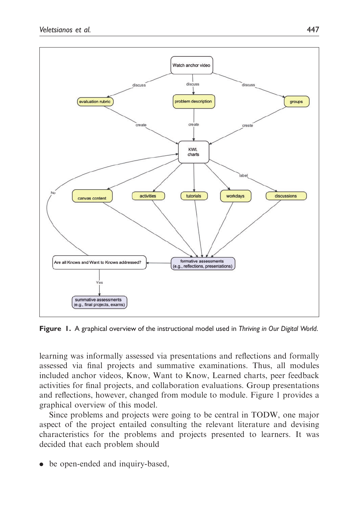

Figure 1. A graphical overview of the instructional model used in Thriving in Our Digital World.

learning was informally assessed via presentations and reflections and formally assessed via final projects and summative examinations. Thus, all modules included anchor videos, Know, Want to Know, Learned charts, peer feedback activities for final projects, and collaboration evaluations. Group presentations and reflections, however, changed from module to module. Figure 1 provides a graphical overview of this model.

Since problems and projects were going to be central in TODW, one major aspect of the project entailed consulting the relevant literature and devising characteristics for the problems and projects presented to learners. It was decided that each problem should

• be open-ended and inquiry-based,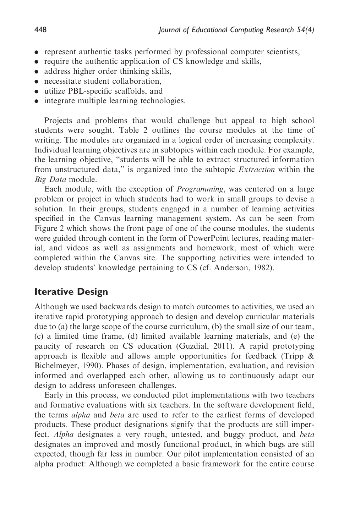- . represent authentic tasks performed by professional computer scientists,
- require the authentic application of CS knowledge and skills,
- . address higher order thinking skills,
- necessitate student collaboration.
- . utilize PBL-specific scaffolds, and
- . integrate multiple learning technologies.

Projects and problems that would challenge but appeal to high school students were sought. Table 2 outlines the course modules at the time of writing. The modules are organized in a logical order of increasing complexity. Individual learning objectives are in subtopics within each module. For example, the learning objective, "students will be able to extract structured information from unstructured data," is organized into the subtopic *Extraction* within the Big Data module.

Each module, with the exception of Programming, was centered on a large problem or project in which students had to work in small groups to devise a solution. In their groups, students engaged in a number of learning activities specified in the Canvas learning management system. As can be seen from Figure 2 which shows the front page of one of the course modules, the students were guided through content in the form of PowerPoint lectures, reading material, and videos as well as assignments and homework, most of which were completed within the Canvas site. The supporting activities were intended to develop students' knowledge pertaining to CS (cf. Anderson, 1982).

## Iterative Design

Although we used backwards design to match outcomes to activities, we used an iterative rapid prototyping approach to design and develop curricular materials due to (a) the large scope of the course curriculum, (b) the small size of our team, (c) a limited time frame, (d) limited available learning materials, and (e) the paucity of research on CS education (Guzdial, 2011). A rapid prototyping approach is flexible and allows ample opportunities for feedback (Tripp  $\&$ Bichelmeyer, 1990). Phases of design, implementation, evaluation, and revision informed and overlapped each other, allowing us to continuously adapt our design to address unforeseen challenges.

Early in this process, we conducted pilot implementations with two teachers and formative evaluations with six teachers. In the software development field, the terms alpha and beta are used to refer to the earliest forms of developed products. These product designations signify that the products are still imperfect. *Alpha* designates a very rough, untested, and buggy product, and *beta* designates an improved and mostly functional product, in which bugs are still expected, though far less in number. Our pilot implementation consisted of an alpha product: Although we completed a basic framework for the entire course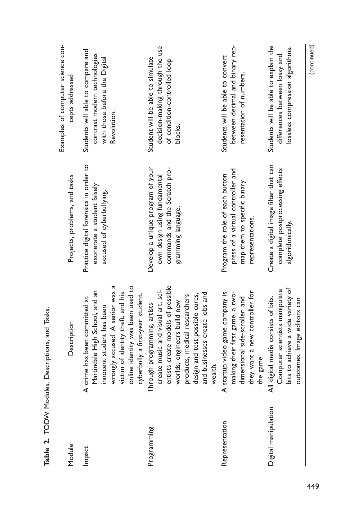| Module               | Description                                                                                                                                                                                                                                            | Projects, problems, and tasks                                                                                           | Examples of computer science con-<br>cepts addressed                                                              |
|----------------------|--------------------------------------------------------------------------------------------------------------------------------------------------------------------------------------------------------------------------------------------------------|-------------------------------------------------------------------------------------------------------------------------|-------------------------------------------------------------------------------------------------------------------|
| Impact               | wrongly accused. A senior was a<br>online identity was been used to<br>Martindale High School, and an<br>victim of identity theft, and his<br>cyberbully a first-year student.<br>A crime has been committed at<br>innocent student has been           | Practice digital forensics in order to<br>exonerate a student falsely<br>accused of cyberbullying.                      | Students will able to compare and<br>contrast modern technologies<br>with those before the Digital<br>Revolution. |
| Programming          | entists create models of possible<br>create music and visual art, sci-<br>and businesses create jobs and<br>design and test possible cures,<br>products, medical researchers<br>worlds, engineers build new<br>Through programming, artists<br>wealth. | Develop a unique program of your<br>commands and the Scratch pro-<br>own design using fundamental<br>gramming language. | decision-making through the use<br>Student will be able to simulate<br>of condition-controlled loop<br>blocks.    |
| Representation       | they want a new controller for<br>A startup video game company is<br>making their first game, a two-<br>dimensional side-scroller, and<br>the game.                                                                                                    | press of a virtual controller and<br>Program the role of each button<br>map them to specific binary<br>representations. | between decimal and binary rep-<br>Students will be able to convert<br>resentation of numbers.                    |
| Digital manipulation | bits to achieve a wide variety of<br>Computer scientists manipulate<br>All digital media consists of bits.<br>outcomes. Image editors can                                                                                                              | Create a digital image filter that can<br>complete postprocessing effects<br>algorithmically.                           | Students will be able to explain the<br>lossless compression algorithms.<br>differences between lossy and         |
|                      |                                                                                                                                                                                                                                                        |                                                                                                                         | (continued)                                                                                                       |

Table 2. TODW Modules, Descriptions, and Tasks. Table 2. TODW Modules, Descriptions, and Tasks.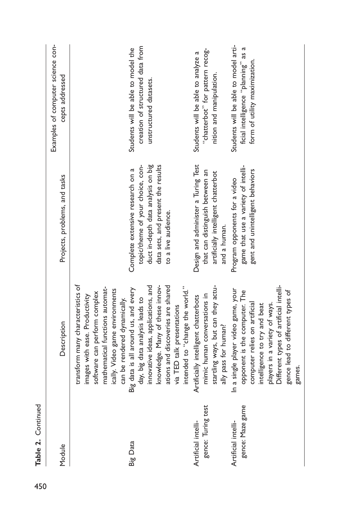| Table 2. Continued                           |                                                                                                                                                                                                                                                                |                                                                                                                                                                         |                                                                                                              |
|----------------------------------------------|----------------------------------------------------------------------------------------------------------------------------------------------------------------------------------------------------------------------------------------------------------------|-------------------------------------------------------------------------------------------------------------------------------------------------------------------------|--------------------------------------------------------------------------------------------------------------|
| Module                                       | Description                                                                                                                                                                                                                                                    | Projects, problems, and tasks                                                                                                                                           | Examples of computer science con-<br>cepts addressed                                                         |
|                                              | transform many characteristics of<br>mathematical functions automat-<br>ically. Video game environments<br>software can perform complex<br>images with ease. Productivity<br>can be rendered dynamically.                                                      |                                                                                                                                                                         |                                                                                                              |
| Big Data                                     | innovative ideas, applications, and<br>knowledge. Many of these innov-<br>ations and discoveries are shared<br>intended to "change the world."<br>Big data is all around us, and every<br>day, big data analysis leads to<br>via TED talk presentations        | duct in-depth data analysis on big<br>data sets, and present the results<br>topic/theme of your choice, con-<br>Complete extensive research on a<br>to a live audience. | creation of structured data from<br>Students will be able to model the<br>unstructured datasets.             |
| ä<br>gence: Turing te<br>Artificial intelli- | startling ways, but can they actu-<br>mimic human conversations in<br>Artificially intelligent chatterbots<br>ally pass for human?                                                                                                                             | Design and administer a Turing Test<br>that can distinguish between an<br>artificially intelligent chatterbot<br>and a human.                                           | "chatterbot" for pattern recog-<br>Students will be able to analyze a<br>nition and manipulation.            |
| gence: Maze game<br>Artificial intelli-      | Different types of artificial intelli-<br>In a single player video game, your<br>opponent is the computer. The<br>gence lead to different types of<br>computer relies on artificial<br>intelligence to try and beat<br>players in a variety of ways.<br>games. | game that use a variety of intelli-<br>gent and unintelligent behaviors<br>Program opponents for a video                                                                | Students will be able to model arti-<br>ficial intelligence "planning" as a<br>form of utility maximization. |

450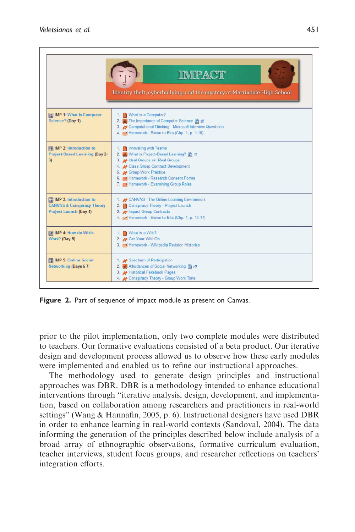

Figure 2. Part of sequence of impact module as present on Canvas.

prior to the pilot implementation, only two complete modules were distributed to teachers. Our formative evaluations consisted of a beta product. Our iterative design and development process allowed us to observe how these early modules were implemented and enabled us to refine our instructional approaches.

The methodology used to generate design principles and instructional approaches was DBR. DBR is a methodology intended to enhance educational interventions through "iterative analysis, design, development, and implementation, based on collaboration among researchers and practitioners in real-world settings" (Wang & Hannafin, 2005, p. 6). Instructional designers have used DBR in order to enhance learning in real-world contexts (Sandoval, 2004). The data informing the generation of the principles described below include analysis of a broad array of ethnographic observations, formative curriculum evaluation, teacher interviews, student focus groups, and researcher reflections on teachers' integration efforts.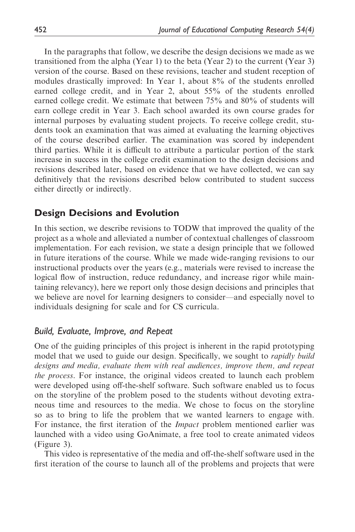In the paragraphs that follow, we describe the design decisions we made as we transitioned from the alpha (Year 1) to the beta (Year 2) to the current (Year 3) version of the course. Based on these revisions, teacher and student reception of modules drastically improved: In Year 1, about 8% of the students enrolled earned college credit, and in Year 2, about 55% of the students enrolled earned college credit. We estimate that between 75% and 80% of students will earn college credit in Year 3. Each school awarded its own course grades for internal purposes by evaluating student projects. To receive college credit, students took an examination that was aimed at evaluating the learning objectives of the course described earlier. The examination was scored by independent third parties. While it is difficult to attribute a particular portion of the stark increase in success in the college credit examination to the design decisions and revisions described later, based on evidence that we have collected, we can say definitively that the revisions described below contributed to student success either directly or indirectly.

# Design Decisions and Evolution

In this section, we describe revisions to TODW that improved the quality of the project as a whole and alleviated a number of contextual challenges of classroom implementation. For each revision, we state a design principle that we followed in future iterations of the course. While we made wide-ranging revisions to our instructional products over the years (e.g., materials were revised to increase the logical flow of instruction, reduce redundancy, and increase rigor while maintaining relevancy), here we report only those design decisions and principles that we believe are novel for learning designers to consider—and especially novel to individuals designing for scale and for CS curricula.

## Build, Evaluate, Improve, and Repeat

One of the guiding principles of this project is inherent in the rapid prototyping model that we used to guide our design. Specifically, we sought to *rapidly build* designs and media, evaluate them with real audiences, improve them, and repeat the process. For instance, the original videos created to launch each problem were developed using off-the-shelf software. Such software enabled us to focus on the storyline of the problem posed to the students without devoting extraneous time and resources to the media. We chose to focus on the storyline so as to bring to life the problem that we wanted learners to engage with. For instance, the first iteration of the *Impact* problem mentioned earlier was launched with a video using GoAnimate, a free tool to create animated videos (Figure 3).

This video is representative of the media and off-the-shelf software used in the first iteration of the course to launch all of the problems and projects that were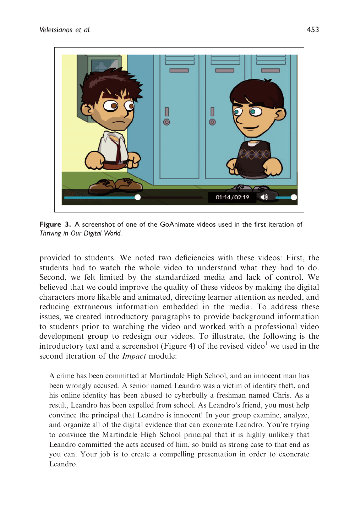

Figure 3. A screenshot of one of the GoAnimate videos used in the first iteration of Thriving in Our Digital World.

provided to students. We noted two deficiencies with these videos: First, the students had to watch the whole video to understand what they had to do. Second, we felt limited by the standardized media and lack of control. We believed that we could improve the quality of these videos by making the digital characters more likable and animated, directing learner attention as needed, and reducing extraneous information embedded in the media. To address these issues, we created introductory paragraphs to provide background information to students prior to watching the video and worked with a professional video development group to redesign our videos. To illustrate, the following is the introductory text and a screenshot (Figure 4) of the revised video $<sup>1</sup>$  we used in the</sup> second iteration of the *Impact* module:

A crime has been committed at Martindale High School, and an innocent man has been wrongly accused. A senior named Leandro was a victim of identity theft, and his online identity has been abused to cyberbully a freshman named Chris. As a result, Leandro has been expelled from school. As Leandro's friend, you must help convince the principal that Leandro is innocent! In your group examine, analyze, and organize all of the digital evidence that can exonerate Leandro. You're trying to convince the Martindale High School principal that it is highly unlikely that Leandro committed the acts accused of him, so build as strong case to that end as you can. Your job is to create a compelling presentation in order to exonerate Leandro.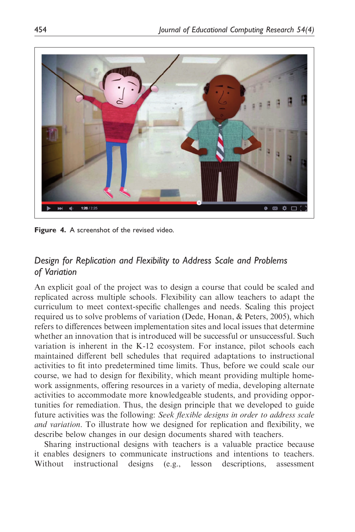

Figure 4. A screenshot of the revised video.

# Design for Replication and Flexibility to Address Scale and Problems of Variation

An explicit goal of the project was to design a course that could be scaled and replicated across multiple schools. Flexibility can allow teachers to adapt the curriculum to meet context-specific challenges and needs. Scaling this project required us to solve problems of variation (Dede, Honan, & Peters, 2005), which refers to differences between implementation sites and local issues that determine whether an innovation that is introduced will be successful or unsuccessful. Such variation is inherent in the K-12 ecosystem. For instance, pilot schools each maintained different bell schedules that required adaptations to instructional activities to fit into predetermined time limits. Thus, before we could scale our course, we had to design for flexibility, which meant providing multiple homework assignments, offering resources in a variety of media, developing alternate activities to accommodate more knowledgeable students, and providing opportunities for remediation. Thus, the design principle that we developed to guide future activities was the following: Seek flexible designs in order to address scale and variation. To illustrate how we designed for replication and flexibility, we describe below changes in our design documents shared with teachers.

Sharing instructional designs with teachers is a valuable practice because it enables designers to communicate instructions and intentions to teachers. Without instructional designs (e.g., lesson descriptions, assessment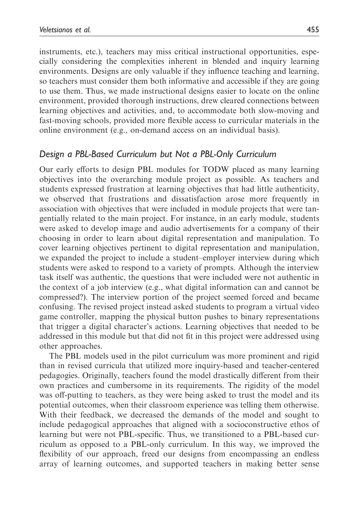instruments, etc.), teachers may miss critical instructional opportunities, especially considering the complexities inherent in blended and inquiry learning environments. Designs are only valuable if they influence teaching and learning, so teachers must consider them both informative and accessible if they are going to use them. Thus, we made instructional designs easier to locate on the online environment, provided thorough instructions, drew cleared connections between learning objectives and activities, and, to accommodate both slow-moving and fast-moving schools, provided more flexible access to curricular materials in the online environment (e.g., on-demand access on an individual basis).

#### Design a PBL-Based Curriculum but Not a PBL-Only Curriculum

Our early efforts to design PBL modules for TODW placed as many learning objectives into the overarching module project as possible. As teachers and students expressed frustration at learning objectives that had little authenticity, we observed that frustrations and dissatisfaction arose more frequently in association with objectives that were included in module projects that were tangentially related to the main project. For instance, in an early module, students were asked to develop image and audio advertisements for a company of their choosing in order to learn about digital representation and manipulation. To cover learning objectives pertinent to digital representation and manipulation, we expanded the project to include a student–employer interview during which students were asked to respond to a variety of prompts. Although the interview task itself was authentic, the questions that were included were not authentic in the context of a job interview (e.g., what digital information can and cannot be compressed?). The interview portion of the project seemed forced and became confusing. The revised project instead asked students to program a virtual video game controller, mapping the physical button pushes to binary representations that trigger a digital character's actions. Learning objectives that needed to be addressed in this module but that did not fit in this project were addressed using other approaches.

The PBL models used in the pilot curriculum was more prominent and rigid than in revised curricula that utilized more inquiry-based and teacher-centered pedagogies. Originally, teachers found the model drastically different from their own practices and cumbersome in its requirements. The rigidity of the model was off-putting to teachers, as they were being asked to trust the model and its potential outcomes, when their classroom experience was telling them otherwise. With their feedback, we decreased the demands of the model and sought to include pedagogical approaches that aligned with a socioconstructive ethos of learning but were not PBL-specific. Thus, we transitioned to a PBL-based curriculum as opposed to a PBL-only curriculum. In this way, we improved the flexibility of our approach, freed our designs from encompassing an endless array of learning outcomes, and supported teachers in making better sense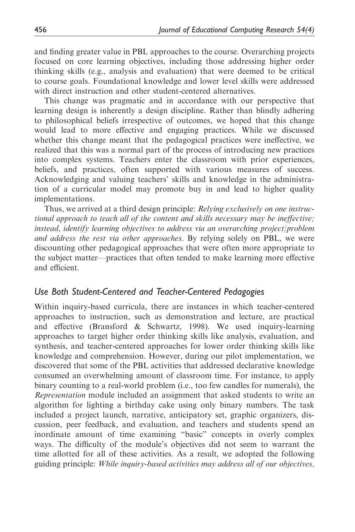and finding greater value in PBL approaches to the course. Overarching projects focused on core learning objectives, including those addressing higher order thinking skills (e.g., analysis and evaluation) that were deemed to be critical to course goals. Foundational knowledge and lower level skills were addressed with direct instruction and other student-centered alternatives.

This change was pragmatic and in accordance with our perspective that learning design is inherently a design discipline. Rather than blindly adhering to philosophical beliefs irrespective of outcomes, we hoped that this change would lead to more effective and engaging practices. While we discussed whether this change meant that the pedagogical practices were ineffective, we realized that this was a normal part of the process of introducing new practices into complex systems. Teachers enter the classroom with prior experiences, beliefs, and practices, often supported with various measures of success. Acknowledging and valuing teachers' skills and knowledge in the administration of a curricular model may promote buy in and lead to higher quality implementations.

Thus, we arrived at a third design principle: *Relying exclusively on one instruc*tional approach to teach all of the content and skills necessary may be ineffective; instead, identify learning objectives to address via an overarching project/problem and address the rest via other approaches. By relying solely on PBL, we were discounting other pedagogical approaches that were often more appropriate to the subject matter—practices that often tended to make learning more effective and efficient.

## Use Both Student-Centered and Teacher-Centered Pedagogies

Within inquiry-based curricula, there are instances in which teacher-centered approaches to instruction, such as demonstration and lecture, are practical and effective (Bransford & Schwartz, 1998). We used inquiry-learning approaches to target higher order thinking skills like analysis, evaluation, and synthesis, and teacher-centered approaches for lower order thinking skills like knowledge and comprehension. However, during our pilot implementation, we discovered that some of the PBL activities that addressed declarative knowledge consumed an overwhelming amount of classroom time. For instance, to apply binary counting to a real-world problem (i.e., too few candles for numerals), the Representation module included an assignment that asked students to write an algorithm for lighting a birthday cake using only binary numbers. The task included a project launch, narrative, anticipatory set, graphic organizers, discussion, peer feedback, and evaluation, and teachers and students spend an inordinate amount of time examining "basic" concepts in overly complex ways. The difficulty of the module's objectives did not seem to warrant the time allotted for all of these activities. As a result, we adopted the following guiding principle: While inquiry-based activities may address all of our objectives,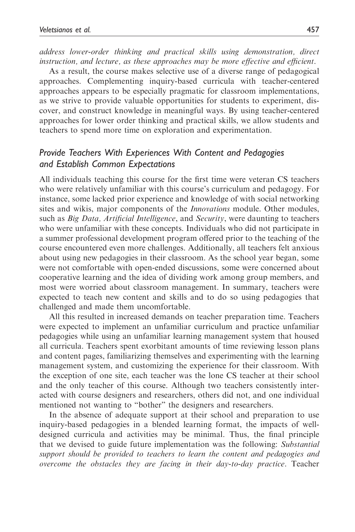address lower-order thinking and practical skills using demonstration, direct instruction, and lecture, as these approaches may be more effective and efficient.

As a result, the course makes selective use of a diverse range of pedagogical approaches. Complementing inquiry-based curricula with teacher-centered approaches appears to be especially pragmatic for classroom implementations, as we strive to provide valuable opportunities for students to experiment, discover, and construct knowledge in meaningful ways. By using teacher-centered approaches for lower order thinking and practical skills, we allow students and teachers to spend more time on exploration and experimentation.

## Provide Teachers With Experiences With Content and Pedagogies and Establish Common Expectations

All individuals teaching this course for the first time were veteran CS teachers who were relatively unfamiliar with this course's curriculum and pedagogy. For instance, some lacked prior experience and knowledge of with social networking sites and wikis, major components of the *Innovations* module. Other modules, such as Big Data, Artificial Intelligence, and Security, were daunting to teachers who were unfamiliar with these concepts. Individuals who did not participate in a summer professional development program offered prior to the teaching of the course encountered even more challenges. Additionally, all teachers felt anxious about using new pedagogies in their classroom. As the school year began, some were not comfortable with open-ended discussions, some were concerned about cooperative learning and the idea of dividing work among group members, and most were worried about classroom management. In summary, teachers were expected to teach new content and skills and to do so using pedagogies that challenged and made them uncomfortable.

All this resulted in increased demands on teacher preparation time. Teachers were expected to implement an unfamiliar curriculum and practice unfamiliar pedagogies while using an unfamiliar learning management system that housed all curricula. Teachers spent exorbitant amounts of time reviewing lesson plans and content pages, familiarizing themselves and experimenting with the learning management system, and customizing the experience for their classroom. With the exception of one site, each teacher was the lone CS teacher at their school and the only teacher of this course. Although two teachers consistently interacted with course designers and researchers, others did not, and one individual mentioned not wanting to "bother" the designers and researchers.

In the absence of adequate support at their school and preparation to use inquiry-based pedagogies in a blended learning format, the impacts of welldesigned curricula and activities may be minimal. Thus, the final principle that we devised to guide future implementation was the following: Substantial support should be provided to teachers to learn the content and pedagogies and overcome the obstacles they are facing in their day-to-day practice. Teacher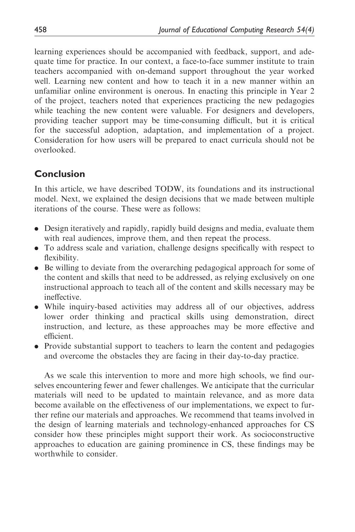learning experiences should be accompanied with feedback, support, and adequate time for practice. In our context, a face-to-face summer institute to train teachers accompanied with on-demand support throughout the year worked well. Learning new content and how to teach it in a new manner within an unfamiliar online environment is onerous. In enacting this principle in Year 2 of the project, teachers noted that experiences practicing the new pedagogies while teaching the new content were valuable. For designers and developers, providing teacher support may be time-consuming difficult, but it is critical for the successful adoption, adaptation, and implementation of a project. Consideration for how users will be prepared to enact curricula should not be overlooked.

# Conclusion

In this article, we have described TODW, its foundations and its instructional model. Next, we explained the design decisions that we made between multiple iterations of the course. These were as follows:

- . Design iteratively and rapidly, rapidly build designs and media, evaluate them with real audiences, improve them, and then repeat the process.
- . To address scale and variation, challenge designs specifically with respect to flexibility.
- . Be willing to deviate from the overarching pedagogical approach for some of the content and skills that need to be addressed, as relying exclusively on one instructional approach to teach all of the content and skills necessary may be ineffective.
- . While inquiry-based activities may address all of our objectives, address lower order thinking and practical skills using demonstration, direct instruction, and lecture, as these approaches may be more effective and efficient.
- . Provide substantial support to teachers to learn the content and pedagogies and overcome the obstacles they are facing in their day-to-day practice.

As we scale this intervention to more and more high schools, we find ourselves encountering fewer and fewer challenges. We anticipate that the curricular materials will need to be updated to maintain relevance, and as more data become available on the effectiveness of our implementations, we expect to further refine our materials and approaches. We recommend that teams involved in the design of learning materials and technology-enhanced approaches for CS consider how these principles might support their work. As socioconstructive approaches to education are gaining prominence in CS, these findings may be worthwhile to consider.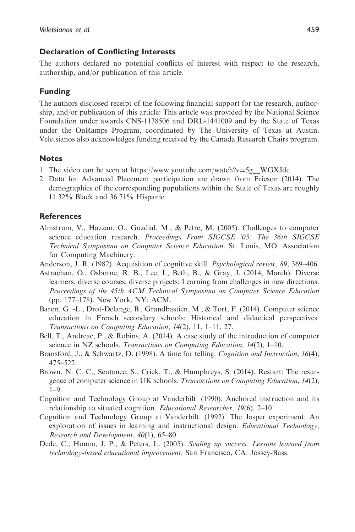#### Declaration of Conflicting Interests

The authors declared no potential conflicts of interest with respect to the research, authorship, and/or publication of this article.

#### Funding

The authors disclosed receipt of the following financial support for the research, authorship, and/or publication of this article: This article was provided by the National Science Foundation under awards CNS-1138506 and DRL-1441009 and by the State of Texas under the OnRamps Program, coordinated by The University of Texas at Austin. Veletsianos also acknowledges funding received by the Canada Research Chairs program.

#### Notes

- 1. The video can be seen at https://www.youtube.com/watch?v=5g\_WGXJdc
- 2. Data for Advanced Placement participation are drawn from Ericson (2014). The demographics of the corresponding populations within the State of Texas are roughly 11.32% Black and 36.71% Hispanic.

#### References

- Almstrum, V., Hazzan, O., Guzdial, M., & Petre, M. (2005). Challenges to computer science education research. Proceedings From SIGCSE '05: The 36th SIGCSE Technical Symposium on Computer Science Education. St. Louis, MO: Association for Computing Machinery.
- Anderson, J. R. (1982). Acquisition of cognitive skill. Psychological review, 89, 369–406.
- Astrachan, O., Osborne, R. B., Lee, I., Beth, B., & Gray, J. (2014, March). Diverse learners, diverse courses, diverse projects: Learning from challenges in new directions. Proceedings of the 45th ACM Technical Symposium on Computer Science Education (pp. 177–178). New York, NY: ACM.
- Baron, G. -L., Drot-Delange, B., Grandbastien, M., & Tort, F. (2014). Computer science education in French secondary schools: Historical and didactical perspectives. Transactions on Computing Education, 14(2), 11, 1–11, 27.
- Bell, T., Andreae, P., & Robins, A. (2014). A case study of the introduction of computer science in NZ schools. Transactions on Computing Education,  $14(2)$ , 1–10.
- Bransford, J., & Schwartz, D. (1998). A time for telling. Cognition and Instruction, 16(4), 475–522.
- Brown, N. C. C., Sentance, S., Crick, T., & Humphreys, S. (2014). Restart: The resurgence of computer science in UK schools. Transactions on Computing Education, 14(2), 1–9.
- Cognition and Technology Group at Vanderbilt. (1990). Anchored instruction and its relationship to situated cognition. Educational Researcher, 19(6), 2–10.
- Cognition and Technology Group at Vanderbilt. (1992). The Jasper experiment: An exploration of issues in learning and instructional design. Educational Technology, Research and Development, 40(1), 65–80.
- Dede, C., Honan, J. P., & Peters, L. (2005). Scaling up success: Lessons learned from technology-based educational improvement. San Francisco, CA: Jossey-Bass.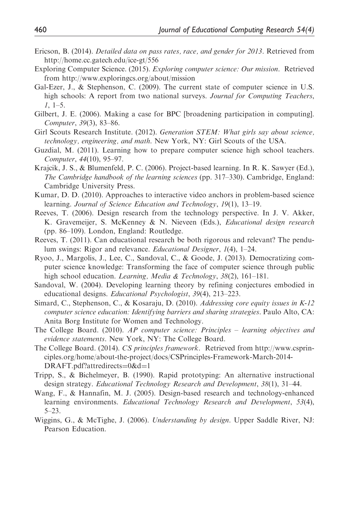- Ericson, B. (2014). Detailed data on pass rates, race, and gender for 2013. Retrieved from http://home.cc.gatech.edu/ice-gt/556
- Exploring Computer Science. (2015). Exploring computer science: Our mission. Retrieved from http://www.exploringcs.org/about/mission
- Gal-Ezer, J., & Stephenson, C. (2009). The current state of computer science in U.S. high schools: A report from two national surveys. Journal for Computing Teachers,  $1, 1-5.$
- Gilbert, J. E. (2006). Making a case for BPC [broadening participation in computing]. Computer, 39(3), 83–86.
- Girl Scouts Research Institute. (2012). Generation STEM: What girls say about science, technology, engineering, and math. New York, NY: Girl Scouts of the USA.
- Guzdial, M. (2011). Learning how to prepare computer science high school teachers. Computer, 44(10), 95–97.
- Krajcik, J. S., & Blumenfeld, P. C. (2006). Project-based learning. In R. K. Sawyer (Ed.), The Cambridge handbook of the learning sciences (pp. 317–330). Cambridge, England: Cambridge University Press.
- Kumar, D. D. (2010). Approaches to interactive video anchors in problem-based science learning. Journal of Science Education and Technology, 19(1), 13-19.
- Reeves, T. (2006). Design research from the technology perspective. In J. V. Akker, K. Gravemeijer, S. McKenney & N. Nieveen (Eds.), Educational design research (pp. 86–109). London, England: Routledge.
- Reeves, T. (2011). Can educational research be both rigorous and relevant? The pendulum swings: Rigor and relevance. Educational Designer, 1(4), 1–24.
- Ryoo, J., Margolis, J., Lee, C., Sandoval, C., & Goode, J. (2013). Democratizing computer science knowledge: Transforming the face of computer science through public high school education. Learning, Media & Technology, 38(2), 161–181.
- Sandoval, W. (2004). Developing learning theory by refining conjectures embodied in educational designs. *Educational Psychologist*, 39(4), 213–223.
- Simard, C., Stephenson, C., & Kosaraju, D. (2010). Addressing core equity issues in K-12 computer science education: Identifying barriers and sharing strategies. Paulo Alto, CA: Anita Borg Institute for Women and Technology.
- The College Board. (2010). AP computer science: Principles learning objectives and evidence statements. New York, NY: The College Board.
- The College Board. (2014). CS principles framework. Retrieved from http://www.csprinciples.org/home/about-the-project/docs/CSPrinciples-Framework-March-2014- DRAFT.pdf?attredirects=0&d=1
- Tripp, S., & Bichelmeyer, B. (1990). Rapid prototyping: An alternative instructional design strategy. Educational Technology Research and Development, 38(1), 31-44.
- Wang, F., & Hannafin, M. J. (2005). Design-based research and technology-enhanced learning environments. Educational Technology Research and Development, 53(4), 5–23.
- Wiggins, G., & McTighe, J. (2006). Understanding by design. Upper Saddle River, NJ: Pearson Education.